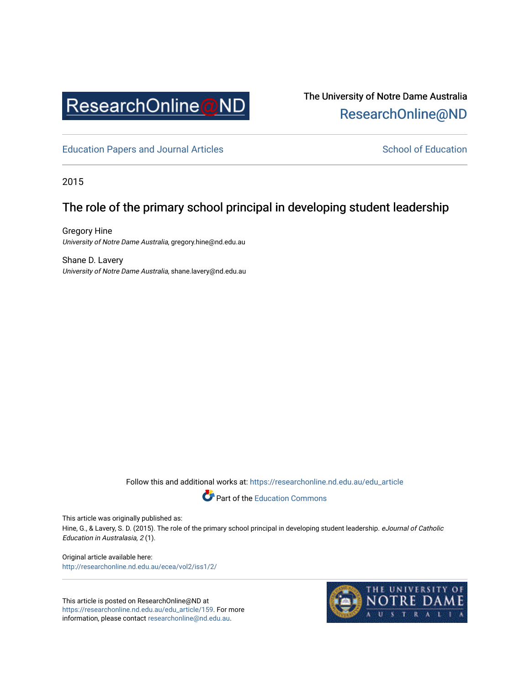

The University of Notre Dame Australia [ResearchOnline@ND](https://researchonline.nd.edu.au/) 

[Education Papers and Journal Articles](https://researchonline.nd.edu.au/edu_article) [School of Education](https://researchonline.nd.edu.au/edu) School of Education

2015

# The role of the primary school principal in developing student leadership

Gregory Hine University of Notre Dame Australia, gregory.hine@nd.edu.au

Shane D. Lavery University of Notre Dame Australia, shane.lavery@nd.edu.au

Follow this and additional works at: [https://researchonline.nd.edu.au/edu\\_article](https://researchonline.nd.edu.au/edu_article?utm_source=researchonline.nd.edu.au%2Fedu_article%2F159&utm_medium=PDF&utm_campaign=PDFCoverPages)



This article was originally published as:

Hine, G., & Lavery, S. D. (2015). The role of the primary school principal in developing student leadership. eJournal of Catholic Education in Australasia, 2 (1).

Original article available here: <http://researchonline.nd.edu.au/ecea/vol2/iss1/2/>

This article is posted on ResearchOnline@ND at [https://researchonline.nd.edu.au/edu\\_article/159](https://researchonline.nd.edu.au/edu_article/159). For more information, please contact [researchonline@nd.edu.au.](mailto:researchonline@nd.edu.au)

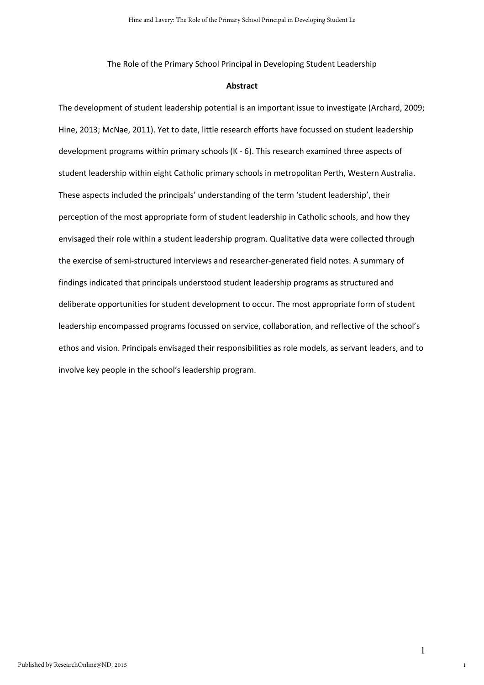The Role of the Primary School Principal in Developing Student Leadership

#### Abstract

The development of student leadership potential is an important issue to investigate (Archard, 2009; Hine, 2013; McNae, 2011). Yet to date, little research efforts have focussed on student leadership development programs within primary schools (K - 6). This research examined three aspects of student leadership within eight Catholic primary schools in metropolitan Perth, Western Australia. These aspects included the principals' understanding of the term 'student leadership', their perception of the most appropriate form of student leadership in Catholic schools, and how they envisaged their role within a student leadership program. Qualitative data were collected through the exercise of semi-structured interviews and researcher-generated field notes. A summary of findings indicated that principals understood student leadership programs as structured and deliberate opportunities for student development to occur. The most appropriate form of student leadership encompassed programs focussed on service, collaboration, and reflective of the school's ethos and vision. Principals envisaged their responsibilities as role models, as servant leaders, and to involve key people in the school's leadership program.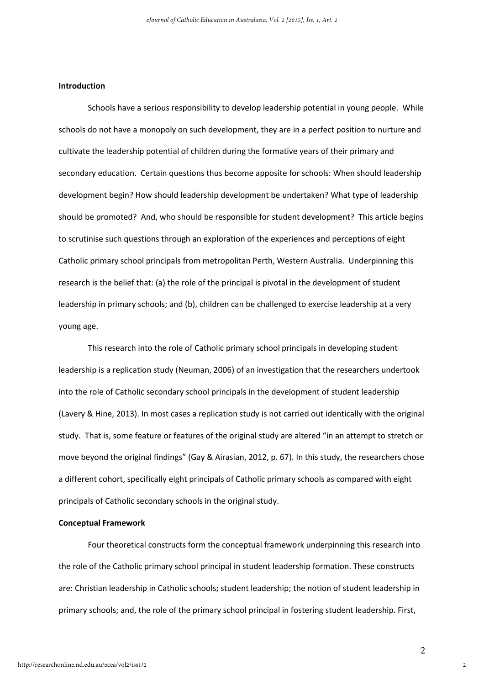## Introduction

Schools have a serious responsibility to develop leadership potential in young people. While schools do not have a monopoly on such development, they are in a perfect position to nurture and cultivate the leadership potential of children during the formative years of their primary and secondary education. Certain questions thus become apposite for schools: When should leadership development begin? How should leadership development be undertaken? What type of leadership should be promoted? And, who should be responsible for student development? This article begins to scrutinise such questions through an exploration of the experiences and perceptions of eight Catholic primary school principals from metropolitan Perth, Western Australia. Underpinning this research is the belief that: (a) the role of the principal is pivotal in the development of student leadership in primary schools; and (b), children can be challenged to exercise leadership at a very young age.

This research into the role of Catholic primary school principals in developing student leadership is a replication study (Neuman, 2006) of an investigation that the researchers undertook into the role of Catholic secondary school principals in the development of student leadership (Lavery & Hine, 2013). In most cases a replication study is not carried out identically with the original study. That is, some feature or features of the original study are altered "in an attempt to stretch or move beyond the original findings" (Gay & Airasian, 2012, p. 67). In this study, the researchers chose a different cohort, specifically eight principals of Catholic primary schools as compared with eight principals of Catholic secondary schools in the original study.

#### Conceptual Framework

Four theoretical constructs form the conceptual framework underpinning this research into the role of the Catholic primary school principal in student leadership formation. These constructs are: Christian leadership in Catholic schools; student leadership; the notion of student leadership in primary schools; and, the role of the primary school principal in fostering student leadership. First,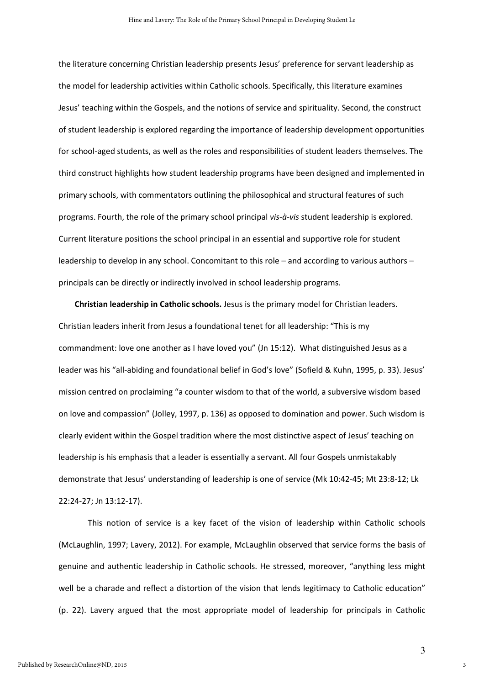the literature concerning Christian leadership presents Jesus' preference for servant leadership as the model for leadership activities within Catholic schools. Specifically, this literature examines Jesus' teaching within the Gospels, and the notions of service and spirituality. Second, the construct of student leadership is explored regarding the importance of leadership development opportunities for school-aged students, as well as the roles and responsibilities of student leaders themselves. The third construct highlights how student leadership programs have been designed and implemented in primary schools, with commentators outlining the philosophical and structural features of such programs. Fourth, the role of the primary school principal vis-à-vis student leadership is explored. Current literature positions the school principal in an essential and supportive role for student leadership to develop in any school. Concomitant to this role – and according to various authors – principals can be directly or indirectly involved in school leadership programs.

Christian leadership in Catholic schools. Jesus is the primary model for Christian leaders. Christian leaders inherit from Jesus a foundational tenet for all leadership: "This is my commandment: love one another as I have loved you" (Jn 15:12). What distinguished Jesus as a leader was his "all-abiding and foundational belief in God's love" (Sofield & Kuhn, 1995, p. 33). Jesus' mission centred on proclaiming "a counter wisdom to that of the world, a subversive wisdom based on love and compassion" (Jolley, 1997, p. 136) as opposed to domination and power. Such wisdom is clearly evident within the Gospel tradition where the most distinctive aspect of Jesus' teaching on leadership is his emphasis that a leader is essentially a servant. All four Gospels unmistakably demonstrate that Jesus' understanding of leadership is one of service (Mk 10:42-45; Mt 23:8-12; Lk 22:24-27; Jn 13:12-17).

 This notion of service is a key facet of the vision of leadership within Catholic schools (McLaughlin, 1997; Lavery, 2012). For example, McLaughlin observed that service forms the basis of genuine and authentic leadership in Catholic schools. He stressed, moreover, "anything less might well be a charade and reflect a distortion of the vision that lends legitimacy to Catholic education" (p. 22). Lavery argued that the most appropriate model of leadership for principals in Catholic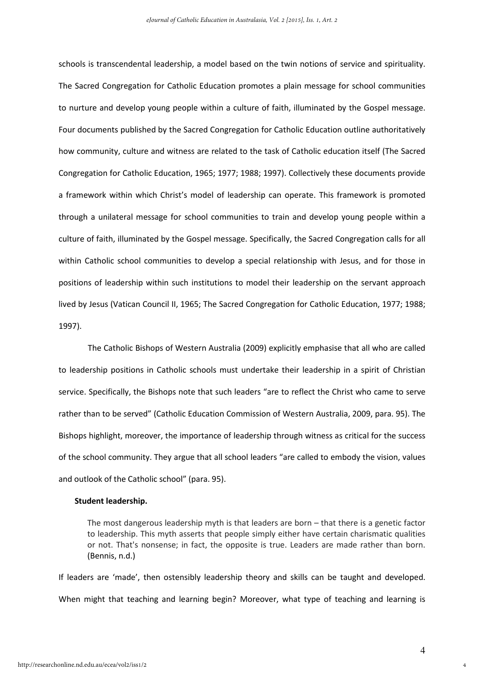schools is transcendental leadership, a model based on the twin notions of service and spirituality. The Sacred Congregation for Catholic Education promotes a plain message for school communities to nurture and develop young people within a culture of faith, illuminated by the Gospel message. Four documents published by the Sacred Congregation for Catholic Education outline authoritatively how community, culture and witness are related to the task of Catholic education itself (The Sacred Congregation for Catholic Education, 1965; 1977; 1988; 1997). Collectively these documents provide a framework within which Christ's model of leadership can operate. This framework is promoted through a unilateral message for school communities to train and develop young people within a culture of faith, illuminated by the Gospel message. Specifically, the Sacred Congregation calls for all within Catholic school communities to develop a special relationship with Jesus, and for those in positions of leadership within such institutions to model their leadership on the servant approach lived by Jesus (Vatican Council II, 1965; The Sacred Congregation for Catholic Education, 1977; 1988; 1997).

 The Catholic Bishops of Western Australia (2009) explicitly emphasise that all who are called to leadership positions in Catholic schools must undertake their leadership in a spirit of Christian service. Specifically, the Bishops note that such leaders "are to reflect the Christ who came to serve rather than to be served" (Catholic Education Commission of Western Australia, 2009, para. 95). The Bishops highlight, moreover, the importance of leadership through witness as critical for the success of the school community. They argue that all school leaders "are called to embody the vision, values and outlook of the Catholic school" (para. 95).

#### Student leadership.

The most dangerous leadership myth is that leaders are born – that there is a genetic factor to leadership. This myth asserts that people simply either have certain charismatic qualities or not. That's nonsense; in fact, the opposite is true. Leaders are made rather than born. (Bennis, n.d.)

If leaders are 'made', then ostensibly leadership theory and skills can be taught and developed. When might that teaching and learning begin? Moreover, what type of teaching and learning is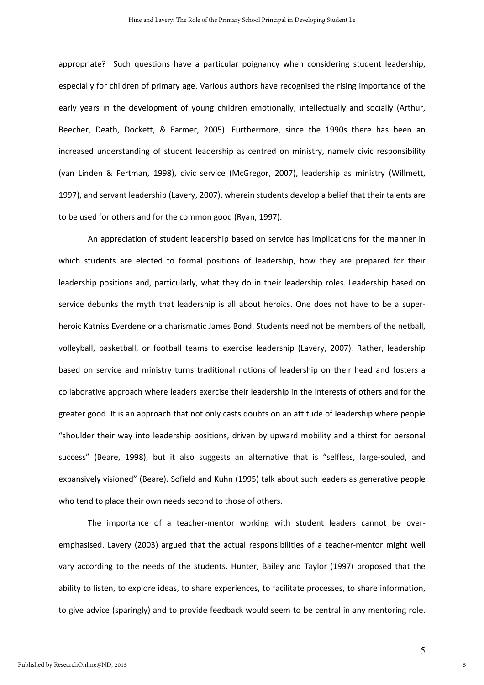appropriate? Such questions have a particular poignancy when considering student leadership, especially for children of primary age. Various authors have recognised the rising importance of the early years in the development of young children emotionally, intellectually and socially (Arthur, Beecher, Death, Dockett, & Farmer, 2005). Furthermore, since the 1990s there has been an increased understanding of student leadership as centred on ministry, namely civic responsibility (van Linden & Fertman, 1998), civic service (McGregor, 2007), leadership as ministry (Willmett, 1997), and servant leadership (Lavery, 2007), wherein students develop a belief that their talents are to be used for others and for the common good (Ryan, 1997).

An appreciation of student leadership based on service has implications for the manner in which students are elected to formal positions of leadership, how they are prepared for their leadership positions and, particularly, what they do in their leadership roles. Leadership based on service debunks the myth that leadership is all about heroics. One does not have to be a superheroic Katniss Everdene or a charismatic James Bond. Students need not be members of the netball, volleyball, basketball, or football teams to exercise leadership (Lavery, 2007). Rather, leadership based on service and ministry turns traditional notions of leadership on their head and fosters a collaborative approach where leaders exercise their leadership in the interests of others and for the greater good. It is an approach that not only casts doubts on an attitude of leadership where people "shoulder their way into leadership positions, driven by upward mobility and a thirst for personal success" (Beare, 1998), but it also suggests an alternative that is "selfless, large-souled, and expansively visioned" (Beare). Sofield and Kuhn (1995) talk about such leaders as generative people who tend to place their own needs second to those of others.

The importance of a teacher-mentor working with student leaders cannot be overemphasised. Lavery (2003) argued that the actual responsibilities of a teacher-mentor might well vary according to the needs of the students. Hunter, Bailey and Taylor (1997) proposed that the ability to listen, to explore ideas, to share experiences, to facilitate processes, to share information, to give advice (sparingly) and to provide feedback would seem to be central in any mentoring role.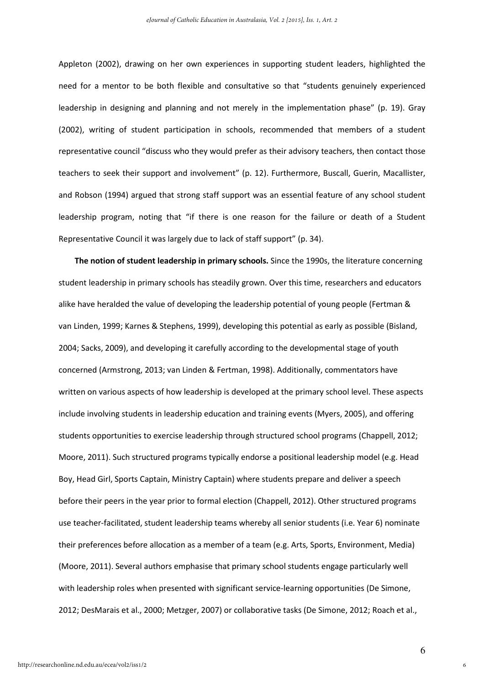Appleton (2002), drawing on her own experiences in supporting student leaders, highlighted the need for a mentor to be both flexible and consultative so that "students genuinely experienced leadership in designing and planning and not merely in the implementation phase" (p. 19). Gray (2002), writing of student participation in schools, recommended that members of a student representative council "discuss who they would prefer as their advisory teachers, then contact those teachers to seek their support and involvement" (p. 12). Furthermore, Buscall, Guerin, Macallister, and Robson (1994) argued that strong staff support was an essential feature of any school student leadership program, noting that "if there is one reason for the failure or death of a Student Representative Council it was largely due to lack of staff support" (p. 34).

The notion of student leadership in primary schools. Since the 1990s, the literature concerning student leadership in primary schools has steadily grown. Over this time, researchers and educators alike have heralded the value of developing the leadership potential of young people (Fertman & van Linden, 1999; Karnes & Stephens, 1999), developing this potential as early as possible (Bisland, 2004; Sacks, 2009), and developing it carefully according to the developmental stage of youth concerned (Armstrong, 2013; van Linden & Fertman, 1998). Additionally, commentators have written on various aspects of how leadership is developed at the primary school level. These aspects include involving students in leadership education and training events (Myers, 2005), and offering students opportunities to exercise leadership through structured school programs (Chappell, 2012; Moore, 2011). Such structured programs typically endorse a positional leadership model (e.g. Head Boy, Head Girl, Sports Captain, Ministry Captain) where students prepare and deliver a speech before their peers in the year prior to formal election (Chappell, 2012). Other structured programs use teacher-facilitated, student leadership teams whereby all senior students (i.e. Year 6) nominate their preferences before allocation as a member of a team (e.g. Arts, Sports, Environment, Media) (Moore, 2011). Several authors emphasise that primary school students engage particularly well with leadership roles when presented with significant service-learning opportunities (De Simone, 2012; DesMarais et al., 2000; Metzger, 2007) or collaborative tasks (De Simone, 2012; Roach et al.,

6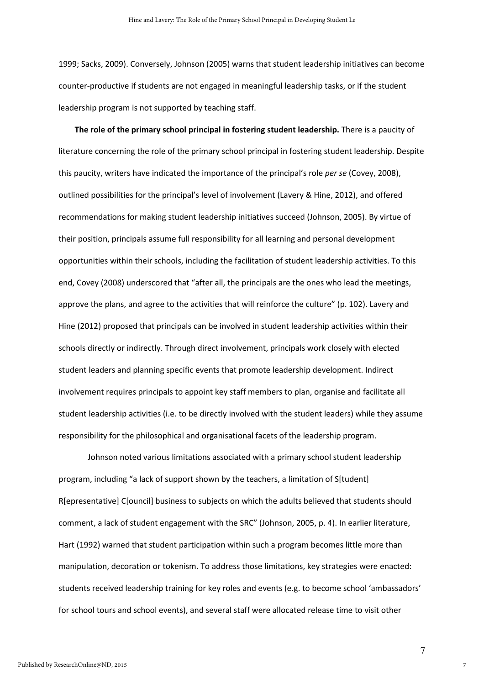1999; Sacks, 2009). Conversely, Johnson (2005) warns that student leadership initiatives can become counter-productive if students are not engaged in meaningful leadership tasks, or if the student leadership program is not supported by teaching staff.

The role of the primary school principal in fostering student leadership. There is a paucity of literature concerning the role of the primary school principal in fostering student leadership. Despite this paucity, writers have indicated the importance of the principal's role per se (Covey, 2008), outlined possibilities for the principal's level of involvement (Lavery & Hine, 2012), and offered recommendations for making student leadership initiatives succeed (Johnson, 2005). By virtue of their position, principals assume full responsibility for all learning and personal development opportunities within their schools, including the facilitation of student leadership activities. To this end, Covey (2008) underscored that "after all, the principals are the ones who lead the meetings, approve the plans, and agree to the activities that will reinforce the culture" (p. 102). Lavery and Hine (2012) proposed that principals can be involved in student leadership activities within their schools directly or indirectly. Through direct involvement, principals work closely with elected student leaders and planning specific events that promote leadership development. Indirect involvement requires principals to appoint key staff members to plan, organise and facilitate all student leadership activities (i.e. to be directly involved with the student leaders) while they assume responsibility for the philosophical and organisational facets of the leadership program.

 Johnson noted various limitations associated with a primary school student leadership program, including "a lack of support shown by the teachers, a limitation of S[tudent] R[epresentative] C[ouncil] business to subjects on which the adults believed that students should comment, a lack of student engagement with the SRC" (Johnson, 2005, p. 4). In earlier literature, Hart (1992) warned that student participation within such a program becomes little more than manipulation, decoration or tokenism. To address those limitations, key strategies were enacted: students received leadership training for key roles and events (e.g. to become school 'ambassadors' for school tours and school events), and several staff were allocated release time to visit other

7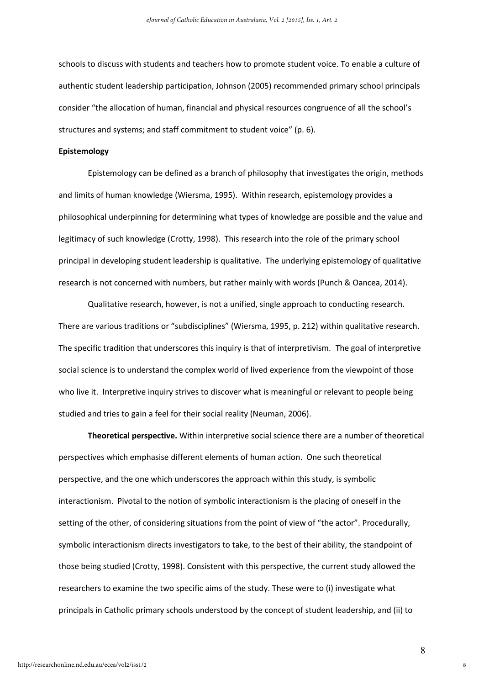schools to discuss with students and teachers how to promote student voice. To enable a culture of authentic student leadership participation, Johnson (2005) recommended primary school principals consider "the allocation of human, financial and physical resources congruence of all the school's structures and systems; and staff commitment to student voice" (p. 6).

### Epistemology

Epistemology can be defined as a branch of philosophy that investigates the origin, methods and limits of human knowledge (Wiersma, 1995). Within research, epistemology provides a philosophical underpinning for determining what types of knowledge are possible and the value and legitimacy of such knowledge (Crotty, 1998). This research into the role of the primary school principal in developing student leadership is qualitative. The underlying epistemology of qualitative research is not concerned with numbers, but rather mainly with words (Punch & Oancea, 2014).

Qualitative research, however, is not a unified, single approach to conducting research. There are various traditions or "subdisciplines" (Wiersma, 1995, p. 212) within qualitative research. The specific tradition that underscores this inquiry is that of interpretivism. The goal of interpretive social science is to understand the complex world of lived experience from the viewpoint of those who live it. Interpretive inquiry strives to discover what is meaningful or relevant to people being studied and tries to gain a feel for their social reality (Neuman, 2006).

Theoretical perspective. Within interpretive social science there are a number of theoretical perspectives which emphasise different elements of human action. One such theoretical perspective, and the one which underscores the approach within this study, is symbolic interactionism. Pivotal to the notion of symbolic interactionism is the placing of oneself in the setting of the other, of considering situations from the point of view of "the actor". Procedurally, symbolic interactionism directs investigators to take, to the best of their ability, the standpoint of those being studied (Crotty, 1998). Consistent with this perspective, the current study allowed the researchers to examine the two specific aims of the study. These were to (i) investigate what principals in Catholic primary schools understood by the concept of student leadership, and (ii) to

8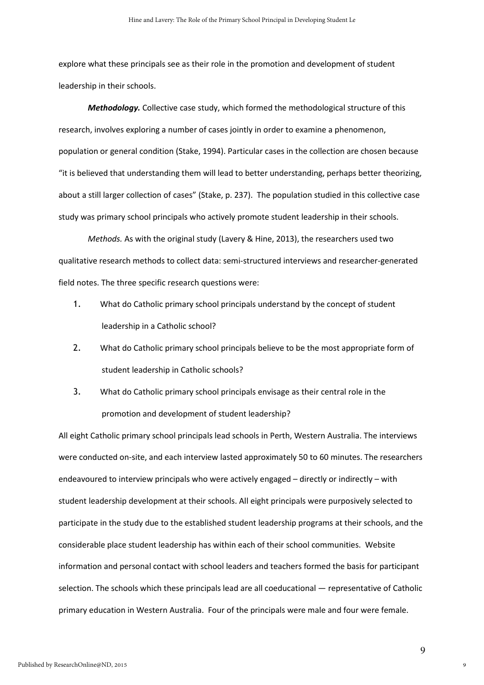explore what these principals see as their role in the promotion and development of student leadership in their schools.

Methodology. Collective case study, which formed the methodological structure of this research, involves exploring a number of cases jointly in order to examine a phenomenon, population or general condition (Stake, 1994). Particular cases in the collection are chosen because "it is believed that understanding them will lead to better understanding, perhaps better theorizing, about a still larger collection of cases" (Stake, p. 237). The population studied in this collective case study was primary school principals who actively promote student leadership in their schools.

Methods. As with the original study (Lavery & Hine, 2013), the researchers used two qualitative research methods to collect data: semi-structured interviews and researcher-generated field notes. The three specific research questions were:

- 1. What do Catholic primary school principals understand by the concept of student leadership in a Catholic school?
- 2. What do Catholic primary school principals believe to be the most appropriate form of student leadership in Catholic schools?
- 3. What do Catholic primary school principals envisage as their central role in the promotion and development of student leadership?

All eight Catholic primary school principals lead schools in Perth, Western Australia. The interviews were conducted on-site, and each interview lasted approximately 50 to 60 minutes. The researchers endeavoured to interview principals who were actively engaged – directly or indirectly – with student leadership development at their schools. All eight principals were purposively selected to participate in the study due to the established student leadership programs at their schools, and the considerable place student leadership has within each of their school communities. Website information and personal contact with school leaders and teachers formed the basis for participant selection. The schools which these principals lead are all coeducational — representative of Catholic primary education in Western Australia. Four of the principals were male and four were female.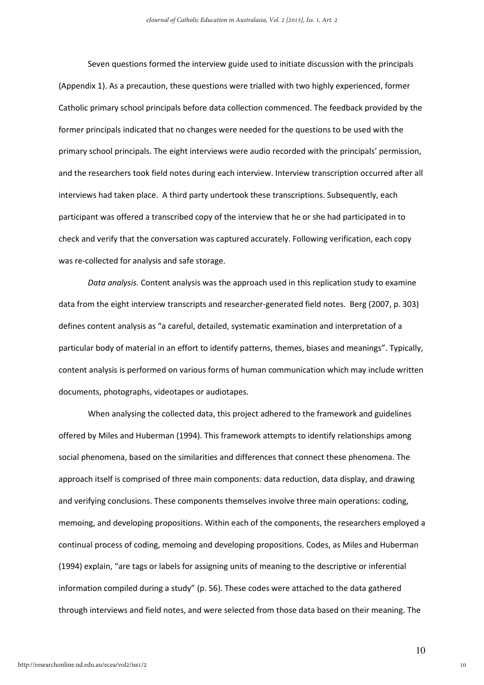Seven questions formed the interview guide used to initiate discussion with the principals (Appendix 1). As a precaution, these questions were trialled with two highly experienced, former Catholic primary school principals before data collection commenced. The feedback provided by the former principals indicated that no changes were needed for the questions to be used with the primary school principals. The eight interviews were audio recorded with the principals' permission, and the researchers took field notes during each interview. Interview transcription occurred after all interviews had taken place. A third party undertook these transcriptions. Subsequently, each participant was offered a transcribed copy of the interview that he or she had participated in to check and verify that the conversation was captured accurately. Following verification, each copy was re-collected for analysis and safe storage.

Data analysis. Content analysis was the approach used in this replication study to examine data from the eight interview transcripts and researcher-generated field notes. Berg (2007, p. 303) defines content analysis as "a careful, detailed, systematic examination and interpretation of a particular body of material in an effort to identify patterns, themes, biases and meanings". Typically, content analysis is performed on various forms of human communication which may include written documents, photographs, videotapes or audiotapes.

 When analysing the collected data, this project adhered to the framework and guidelines offered by Miles and Huberman (1994). This framework attempts to identify relationships among social phenomena, based on the similarities and differences that connect these phenomena. The approach itself is comprised of three main components: data reduction, data display, and drawing and verifying conclusions. These components themselves involve three main operations: coding, memoing, and developing propositions. Within each of the components, the researchers employed a continual process of coding, memoing and developing propositions. Codes, as Miles and Huberman (1994) explain, "are tags or labels for assigning units of meaning to the descriptive or inferential information compiled during a study" (p. 56). These codes were attached to the data gathered through interviews and field notes, and were selected from those data based on their meaning. The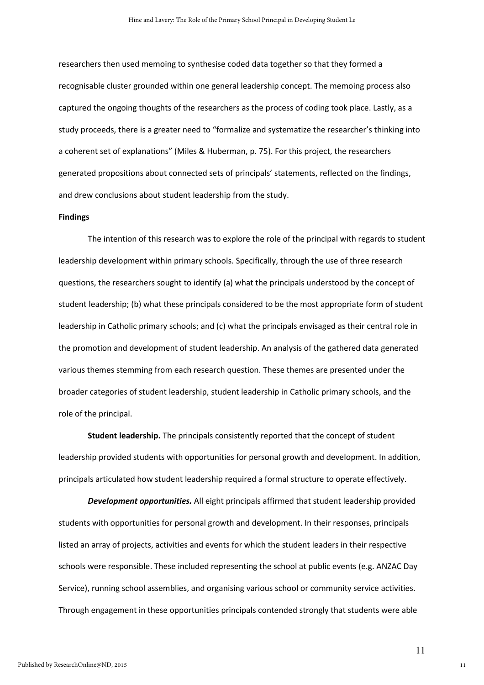researchers then used memoing to synthesise coded data together so that they formed a recognisable cluster grounded within one general leadership concept. The memoing process also captured the ongoing thoughts of the researchers as the process of coding took place. Lastly, as a study proceeds, there is a greater need to "formalize and systematize the researcher's thinking into a coherent set of explanations" (Miles & Huberman, p. 75). For this project, the researchers generated propositions about connected sets of principals' statements, reflected on the findings, and drew conclusions about student leadership from the study.

#### Findings

The intention of this research was to explore the role of the principal with regards to student leadership development within primary schools. Specifically, through the use of three research questions, the researchers sought to identify (a) what the principals understood by the concept of student leadership; (b) what these principals considered to be the most appropriate form of student leadership in Catholic primary schools; and (c) what the principals envisaged as their central role in the promotion and development of student leadership. An analysis of the gathered data generated various themes stemming from each research question. These themes are presented under the broader categories of student leadership, student leadership in Catholic primary schools, and the role of the principal.

Student leadership. The principals consistently reported that the concept of student leadership provided students with opportunities for personal growth and development. In addition, principals articulated how student leadership required a formal structure to operate effectively.

Development opportunities. All eight principals affirmed that student leadership provided students with opportunities for personal growth and development. In their responses, principals listed an array of projects, activities and events for which the student leaders in their respective schools were responsible. These included representing the school at public events (e.g. ANZAC Day Service), running school assemblies, and organising various school or community service activities. Through engagement in these opportunities principals contended strongly that students were able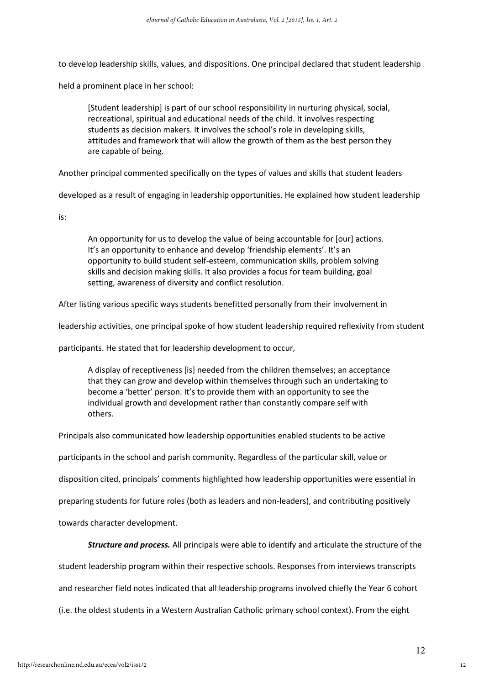to develop leadership skills, values, and dispositions. One principal declared that student leadership

held a prominent place in her school:

[Student leadership] is part of our school responsibility in nurturing physical, social, recreational, spiritual and educational needs of the child. It involves respecting students as decision makers. It involves the school's role in developing skills, attitudes and framework that will allow the growth of them as the best person they are capable of being.

Another principal commented specifically on the types of values and skills that student leaders

developed as a result of engaging in leadership opportunities. He explained how student leadership

is:

An opportunity for us to develop the value of being accountable for [our] actions. It's an opportunity to enhance and develop 'friendship elements'. It's an opportunity to build student self-esteem, communication skills, problem solving skills and decision making skills. It also provides a focus for team building, goal setting, awareness of diversity and conflict resolution.

After listing various specific ways students benefitted personally from their involvement in

leadership activities, one principal spoke of how student leadership required reflexivity from student

participants. He stated that for leadership development to occur,

A display of receptiveness [is] needed from the children themselves; an acceptance that they can grow and develop within themselves through such an undertaking to become a 'better' person. It's to provide them with an opportunity to see the individual growth and development rather than constantly compare self with others.

Principals also communicated how leadership opportunities enabled students to be active

participants in the school and parish community. Regardless of the particular skill, value or

disposition cited, principals' comments highlighted how leadership opportunities were essential in

preparing students for future roles (both as leaders and non-leaders), and contributing positively

towards character development.

**Structure and process.** All principals were able to identify and articulate the structure of the

student leadership program within their respective schools. Responses from interviews transcripts

and researcher field notes indicated that all leadership programs involved chiefly the Year 6 cohort

(i.e. the oldest students in a Western Australian Catholic primary school context). From the eight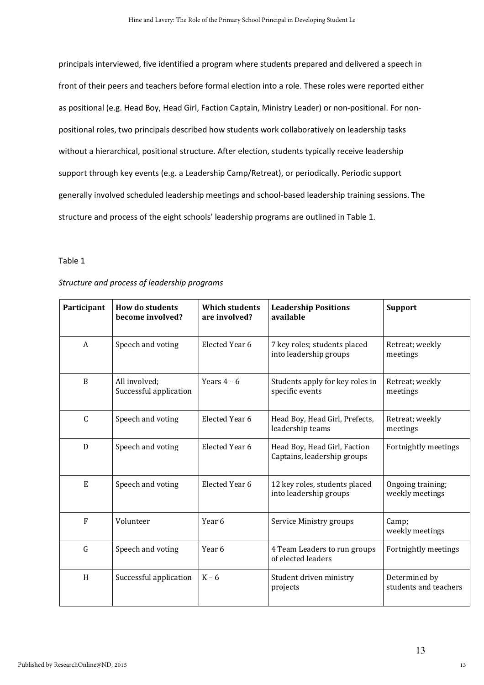principals interviewed, five identified a program where students prepared and delivered a speech in front of their peers and teachers before formal election into a role. These roles were reported either as positional (e.g. Head Boy, Head Girl, Faction Captain, Ministry Leader) or non-positional. For nonpositional roles, two principals described how students work collaboratively on leadership tasks without a hierarchical, positional structure. After election, students typically receive leadership support through key events (e.g. a Leadership Camp/Retreat), or periodically. Periodic support generally involved scheduled leadership meetings and school-based leadership training sessions. The structure and process of the eight schools' leadership programs are outlined in Table 1.

### Table 1

| Participant  | <b>How do students</b><br>become involved? | <b>Which students</b><br>are involved? | <b>Leadership Positions</b><br>available                    | <b>Support</b>                         |
|--------------|--------------------------------------------|----------------------------------------|-------------------------------------------------------------|----------------------------------------|
| A            | Speech and voting                          | Elected Year 6                         | 7 key roles; students placed<br>into leadership groups      | Retreat; weekly<br>meetings            |
| B            | All involved:<br>Successful application    | Years $4-6$                            | Students apply for key roles in<br>specific events          | Retreat; weekly<br>meetings            |
| $\mathsf{C}$ | Speech and voting                          | Elected Year 6                         | Head Boy, Head Girl, Prefects,<br>leadership teams          | Retreat; weekly<br>meetings            |
| D            | Speech and voting                          | Elected Year 6                         | Head Boy, Head Girl, Faction<br>Captains, leadership groups | Fortnightly meetings                   |
| E            | Speech and voting                          | Elected Year 6                         | 12 key roles, students placed<br>into leadership groups     | Ongoing training;<br>weekly meetings   |
| F            | Volunteer                                  | Year 6                                 | Service Ministry groups                                     | Camp;<br>weekly meetings               |
| G            | Speech and voting                          | Year 6                                 | 4 Team Leaders to run groups<br>of elected leaders          | Fortnightly meetings                   |
| H            | Successful application                     | $K - 6$                                | Student driven ministry<br>projects                         | Determined by<br>students and teachers |

# Structure and process of leadership programs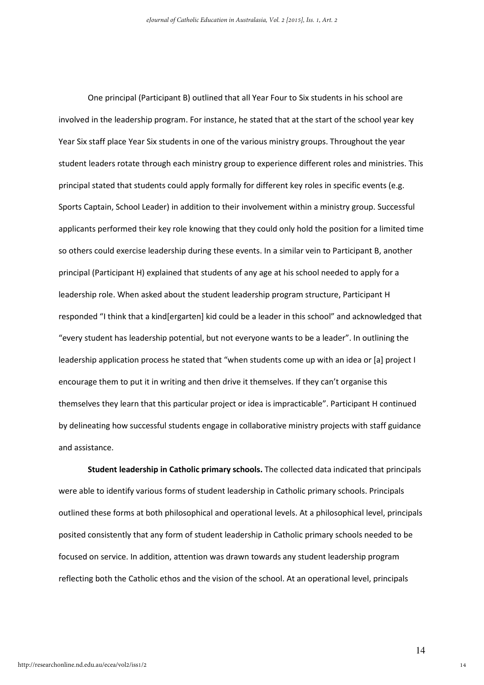One principal (Participant B) outlined that all Year Four to Six students in his school are involved in the leadership program. For instance, he stated that at the start of the school year key Year Six staff place Year Six students in one of the various ministry groups. Throughout the year student leaders rotate through each ministry group to experience different roles and ministries. This principal stated that students could apply formally for different key roles in specific events (e.g. Sports Captain, School Leader) in addition to their involvement within a ministry group. Successful applicants performed their key role knowing that they could only hold the position for a limited time so others could exercise leadership during these events. In a similar vein to Participant B, another principal (Participant H) explained that students of any age at his school needed to apply for a leadership role. When asked about the student leadership program structure, Participant H responded "I think that a kind[ergarten] kid could be a leader in this school" and acknowledged that "every student has leadership potential, but not everyone wants to be a leader". In outlining the leadership application process he stated that "when students come up with an idea or [a] project I encourage them to put it in writing and then drive it themselves. If they can't organise this themselves they learn that this particular project or idea is impracticable". Participant H continued by delineating how successful students engage in collaborative ministry projects with staff guidance and assistance.

Student leadership in Catholic primary schools. The collected data indicated that principals were able to identify various forms of student leadership in Catholic primary schools. Principals outlined these forms at both philosophical and operational levels. At a philosophical level, principals posited consistently that any form of student leadership in Catholic primary schools needed to be focused on service. In addition, attention was drawn towards any student leadership program reflecting both the Catholic ethos and the vision of the school. At an operational level, principals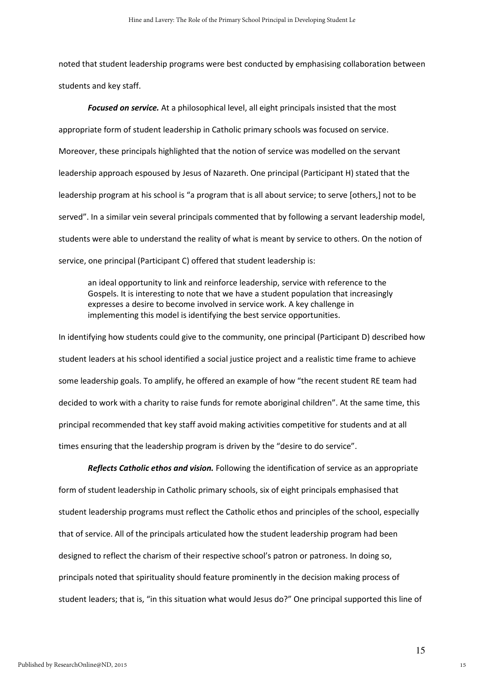noted that student leadership programs were best conducted by emphasising collaboration between students and key staff.

Focused on service. At a philosophical level, all eight principals insisted that the most appropriate form of student leadership in Catholic primary schools was focused on service. Moreover, these principals highlighted that the notion of service was modelled on the servant leadership approach espoused by Jesus of Nazareth. One principal (Participant H) stated that the leadership program at his school is "a program that is all about service; to serve [others,] not to be served". In a similar vein several principals commented that by following a servant leadership model, students were able to understand the reality of what is meant by service to others. On the notion of service, one principal (Participant C) offered that student leadership is:

an ideal opportunity to link and reinforce leadership, service with reference to the Gospels. It is interesting to note that we have a student population that increasingly expresses a desire to become involved in service work. A key challenge in implementing this model is identifying the best service opportunities.

In identifying how students could give to the community, one principal (Participant D) described how student leaders at his school identified a social justice project and a realistic time frame to achieve some leadership goals. To amplify, he offered an example of how "the recent student RE team had decided to work with a charity to raise funds for remote aboriginal children". At the same time, this principal recommended that key staff avoid making activities competitive for students and at all times ensuring that the leadership program is driven by the "desire to do service".

Reflects Catholic ethos and vision. Following the identification of service as an appropriate form of student leadership in Catholic primary schools, six of eight principals emphasised that student leadership programs must reflect the Catholic ethos and principles of the school, especially that of service. All of the principals articulated how the student leadership program had been designed to reflect the charism of their respective school's patron or patroness. In doing so, principals noted that spirituality should feature prominently in the decision making process of student leaders; that is, "in this situation what would Jesus do?" One principal supported this line of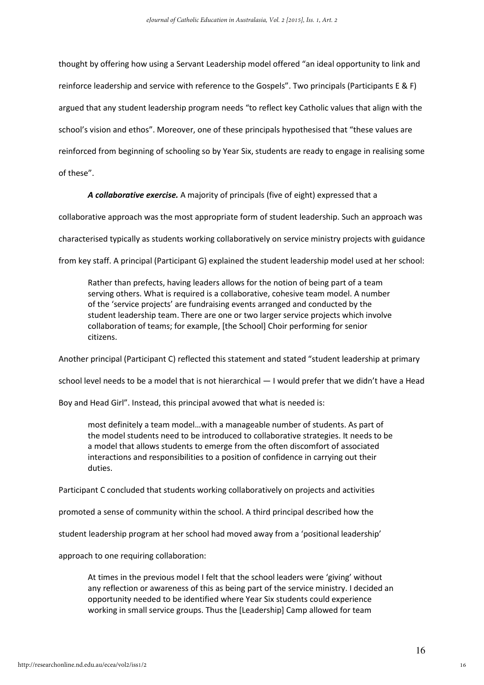thought by offering how using a Servant Leadership model offered "an ideal opportunity to link and reinforce leadership and service with reference to the Gospels". Two principals (Participants E & F) argued that any student leadership program needs "to reflect key Catholic values that align with the school's vision and ethos". Moreover, one of these principals hypothesised that "these values are reinforced from beginning of schooling so by Year Six, students are ready to engage in realising some of these".

A collaborative exercise. A majority of principals (five of eight) expressed that a

collaborative approach was the most appropriate form of student leadership. Such an approach was

characterised typically as students working collaboratively on service ministry projects with guidance

from key staff. A principal (Participant G) explained the student leadership model used at her school:

Rather than prefects, having leaders allows for the notion of being part of a team serving others. What is required is a collaborative, cohesive team model. A number of the 'service projects' are fundraising events arranged and conducted by the student leadership team. There are one or two larger service projects which involve collaboration of teams; for example, [the School] Choir performing for senior citizens.

Another principal (Participant C) reflected this statement and stated "student leadership at primary

school level needs to be a model that is not hierarchical — I would prefer that we didn't have a Head

Boy and Head Girl". Instead, this principal avowed that what is needed is:

most definitely a team model…with a manageable number of students. As part of the model students need to be introduced to collaborative strategies. It needs to be a model that allows students to emerge from the often discomfort of associated interactions and responsibilities to a position of confidence in carrying out their duties.

Participant C concluded that students working collaboratively on projects and activities

promoted a sense of community within the school. A third principal described how the

student leadership program at her school had moved away from a 'positional leadership'

approach to one requiring collaboration:

At times in the previous model I felt that the school leaders were 'giving' without any reflection or awareness of this as being part of the service ministry. I decided an opportunity needed to be identified where Year Six students could experience working in small service groups. Thus the [Leadership] Camp allowed for team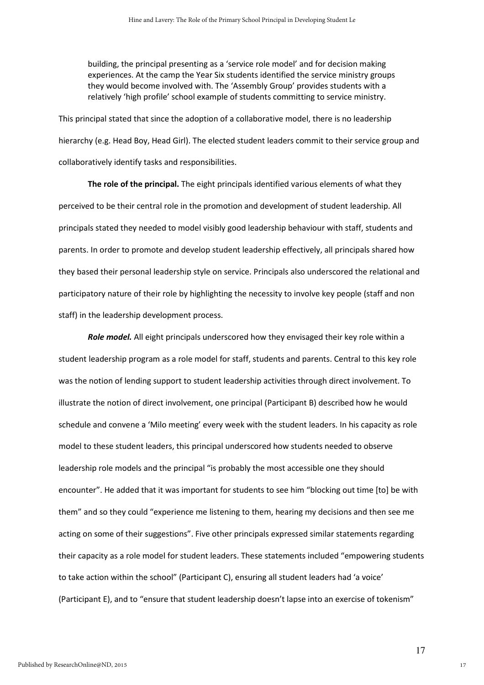building, the principal presenting as a 'service role model' and for decision making experiences. At the camp the Year Six students identified the service ministry groups they would become involved with. The 'Assembly Group' provides students with a relatively 'high profile' school example of students committing to service ministry.

This principal stated that since the adoption of a collaborative model, there is no leadership hierarchy (e.g. Head Boy, Head Girl). The elected student leaders commit to their service group and collaboratively identify tasks and responsibilities.

The role of the principal. The eight principals identified various elements of what they perceived to be their central role in the promotion and development of student leadership. All principals stated they needed to model visibly good leadership behaviour with staff, students and parents. In order to promote and develop student leadership effectively, all principals shared how they based their personal leadership style on service. Principals also underscored the relational and participatory nature of their role by highlighting the necessity to involve key people (staff and non staff) in the leadership development process.

Role model. All eight principals underscored how they envisaged their key role within a student leadership program as a role model for staff, students and parents. Central to this key role was the notion of lending support to student leadership activities through direct involvement. To illustrate the notion of direct involvement, one principal (Participant B) described how he would schedule and convene a 'Milo meeting' every week with the student leaders. In his capacity as role model to these student leaders, this principal underscored how students needed to observe leadership role models and the principal "is probably the most accessible one they should encounter". He added that it was important for students to see him "blocking out time [to] be with them" and so they could "experience me listening to them, hearing my decisions and then see me acting on some of their suggestions". Five other principals expressed similar statements regarding their capacity as a role model for student leaders. These statements included "empowering students to take action within the school" (Participant C), ensuring all student leaders had 'a voice' (Participant E), and to "ensure that student leadership doesn't lapse into an exercise of tokenism"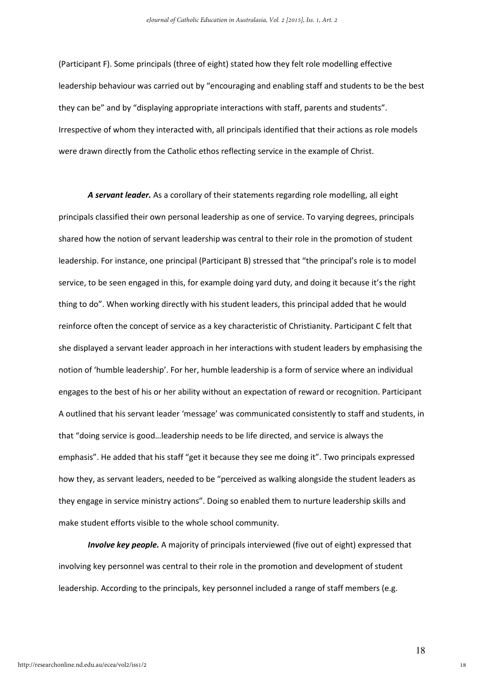(Participant F). Some principals (three of eight) stated how they felt role modelling effective leadership behaviour was carried out by "encouraging and enabling staff and students to be the best they can be" and by "displaying appropriate interactions with staff, parents and students". Irrespective of whom they interacted with, all principals identified that their actions as role models were drawn directly from the Catholic ethos reflecting service in the example of Christ.

A servant leader. As a corollary of their statements regarding role modelling, all eight principals classified their own personal leadership as one of service. To varying degrees, principals shared how the notion of servant leadership was central to their role in the promotion of student leadership. For instance, one principal (Participant B) stressed that "the principal's role is to model service, to be seen engaged in this, for example doing yard duty, and doing it because it's the right thing to do". When working directly with his student leaders, this principal added that he would reinforce often the concept of service as a key characteristic of Christianity. Participant C felt that she displayed a servant leader approach in her interactions with student leaders by emphasising the notion of 'humble leadership'. For her, humble leadership is a form of service where an individual engages to the best of his or her ability without an expectation of reward or recognition. Participant A outlined that his servant leader 'message' was communicated consistently to staff and students, in that "doing service is good…leadership needs to be life directed, and service is always the emphasis". He added that his staff "get it because they see me doing it". Two principals expressed how they, as servant leaders, needed to be "perceived as walking alongside the student leaders as they engage in service ministry actions". Doing so enabled them to nurture leadership skills and make student efforts visible to the whole school community.

**Involve key people.** A majority of principals interviewed (five out of eight) expressed that involving key personnel was central to their role in the promotion and development of student leadership. According to the principals, key personnel included a range of staff members (e.g.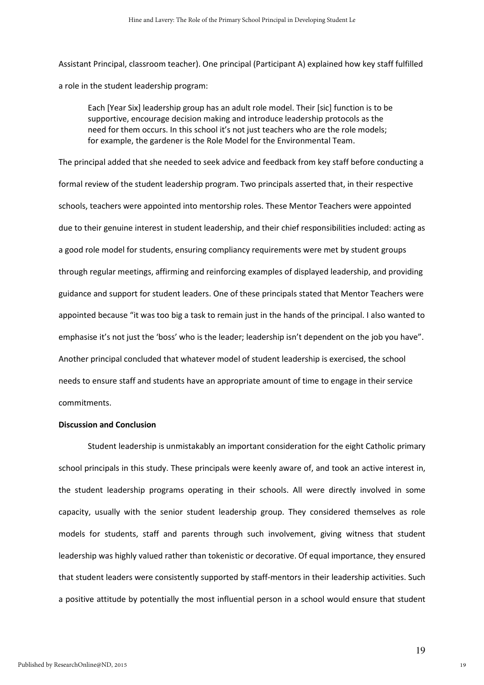Assistant Principal, classroom teacher). One principal (Participant A) explained how key staff fulfilled a role in the student leadership program:

Each [Year Six] leadership group has an adult role model. Their [sic] function is to be supportive, encourage decision making and introduce leadership protocols as the need for them occurs. In this school it's not just teachers who are the role models; for example, the gardener is the Role Model for the Environmental Team.

The principal added that she needed to seek advice and feedback from key staff before conducting a formal review of the student leadership program. Two principals asserted that, in their respective schools, teachers were appointed into mentorship roles. These Mentor Teachers were appointed due to their genuine interest in student leadership, and their chief responsibilities included: acting as a good role model for students, ensuring compliancy requirements were met by student groups through regular meetings, affirming and reinforcing examples of displayed leadership, and providing guidance and support for student leaders. One of these principals stated that Mentor Teachers were appointed because "it was too big a task to remain just in the hands of the principal. I also wanted to emphasise it's not just the 'boss' who is the leader; leadership isn't dependent on the job you have". Another principal concluded that whatever model of student leadership is exercised, the school needs to ensure staff and students have an appropriate amount of time to engage in their service commitments.

#### Discussion and Conclusion

Student leadership is unmistakably an important consideration for the eight Catholic primary school principals in this study. These principals were keenly aware of, and took an active interest in, the student leadership programs operating in their schools. All were directly involved in some capacity, usually with the senior student leadership group. They considered themselves as role models for students, staff and parents through such involvement, giving witness that student leadership was highly valued rather than tokenistic or decorative. Of equal importance, they ensured that student leaders were consistently supported by staff-mentors in their leadership activities. Such a positive attitude by potentially the most influential person in a school would ensure that student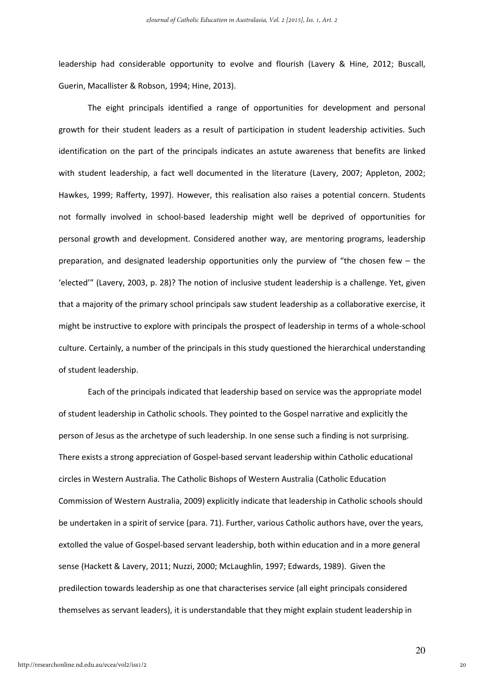leadership had considerable opportunity to evolve and flourish (Lavery & Hine, 2012; Buscall, Guerin, Macallister & Robson, 1994; Hine, 2013).

The eight principals identified a range of opportunities for development and personal growth for their student leaders as a result of participation in student leadership activities. Such identification on the part of the principals indicates an astute awareness that benefits are linked with student leadership, a fact well documented in the literature (Lavery, 2007; Appleton, 2002; Hawkes, 1999; Rafferty, 1997). However, this realisation also raises a potential concern. Students not formally involved in school-based leadership might well be deprived of opportunities for personal growth and development. Considered another way, are mentoring programs, leadership preparation, and designated leadership opportunities only the purview of "the chosen few – the 'elected'" (Lavery, 2003, p. 28)? The notion of inclusive student leadership is a challenge. Yet, given that a majority of the primary school principals saw student leadership as a collaborative exercise, it might be instructive to explore with principals the prospect of leadership in terms of a whole-school culture. Certainly, a number of the principals in this study questioned the hierarchical understanding of student leadership.

Each of the principals indicated that leadership based on service was the appropriate model of student leadership in Catholic schools. They pointed to the Gospel narrative and explicitly the person of Jesus as the archetype of such leadership. In one sense such a finding is not surprising. There exists a strong appreciation of Gospel-based servant leadership within Catholic educational circles in Western Australia. The Catholic Bishops of Western Australia (Catholic Education Commission of Western Australia, 2009) explicitly indicate that leadership in Catholic schools should be undertaken in a spirit of service (para. 71). Further, various Catholic authors have, over the years, extolled the value of Gospel-based servant leadership, both within education and in a more general sense (Hackett & Lavery, 2011; Nuzzi, 2000; McLaughlin, 1997; Edwards, 1989). Given the predilection towards leadership as one that characterises service (all eight principals considered themselves as servant leaders), it is understandable that they might explain student leadership in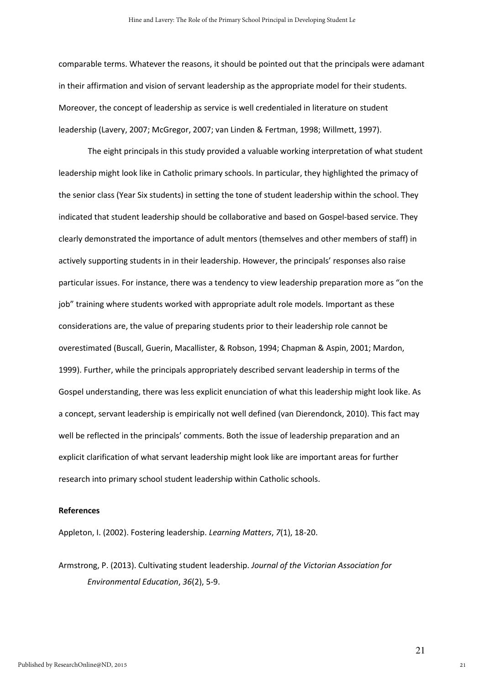comparable terms. Whatever the reasons, it should be pointed out that the principals were adamant in their affirmation and vision of servant leadership as the appropriate model for their students. Moreover, the concept of leadership as service is well credentialed in literature on student leadership (Lavery, 2007; McGregor, 2007; van Linden & Fertman, 1998; Willmett, 1997).

 The eight principals in this study provided a valuable working interpretation of what student leadership might look like in Catholic primary schools. In particular, they highlighted the primacy of the senior class (Year Six students) in setting the tone of student leadership within the school. They indicated that student leadership should be collaborative and based on Gospel-based service. They clearly demonstrated the importance of adult mentors (themselves and other members of staff) in actively supporting students in in their leadership. However, the principals' responses also raise particular issues. For instance, there was a tendency to view leadership preparation more as "on the job" training where students worked with appropriate adult role models. Important as these considerations are, the value of preparing students prior to their leadership role cannot be overestimated (Buscall, Guerin, Macallister, & Robson, 1994; Chapman & Aspin, 2001; Mardon, 1999). Further, while the principals appropriately described servant leadership in terms of the Gospel understanding, there was less explicit enunciation of what this leadership might look like. As a concept, servant leadership is empirically not well defined (van Dierendonck, 2010). This fact may well be reflected in the principals' comments. Both the issue of leadership preparation and an explicit clarification of what servant leadership might look like are important areas for further research into primary school student leadership within Catholic schools.

## References

Appleton, I. (2002). Fostering leadership. Learning Matters, 7(1), 18-20.

Armstrong, P. (2013). Cultivating student leadership. Journal of the Victorian Association for Environmental Education, 36(2), 5-9.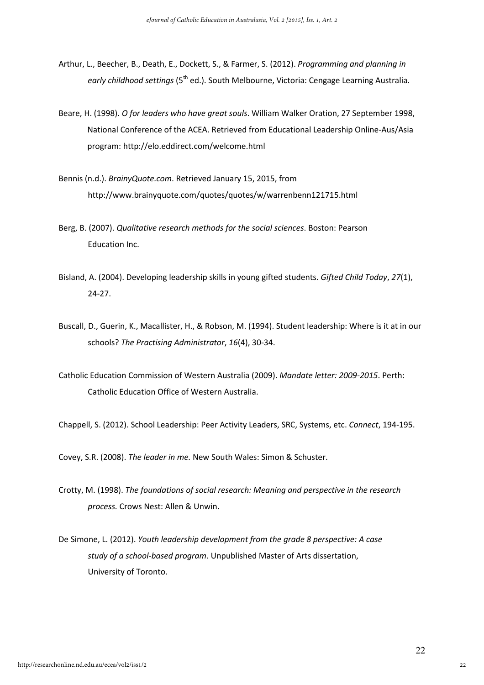- Arthur, L., Beecher, B., Death, E., Dockett, S., & Farmer, S. (2012). Programming and planning in early childhood settings (5<sup>th</sup> ed.). South Melbourne, Victoria: Cengage Learning Australia.
- Beare, H. (1998). O for leaders who have great souls. William Walker Oration, 27 September 1998, National Conference of the ACEA. Retrieved from Educational Leadership Online-Aus/Asia program: http://elo.eddirect.com/welcome.html
- Bennis (n.d.). BrainyQuote.com. Retrieved January 15, 2015, from http://www.brainyquote.com/quotes/quotes/w/warrenbenn121715.html
- Berg, B. (2007). Qualitative research methods for the social sciences. Boston: Pearson Education Inc.
- Bisland, A. (2004). Developing leadership skills in young gifted students. Gifted Child Today, 27(1), 24-27.
- Buscall, D., Guerin, K., Macallister, H., & Robson, M. (1994). Student leadership: Where is it at in our schools? The Practising Administrator, 16(4), 30-34.
- Catholic Education Commission of Western Australia (2009). Mandate letter: 2009-2015. Perth: Catholic Education Office of Western Australia.

Chappell, S. (2012). School Leadership: Peer Activity Leaders, SRC, Systems, etc. Connect, 194-195.

Covey, S.R. (2008). The leader in me. New South Wales: Simon & Schuster.

- Crotty, M. (1998). The foundations of social research: Meaning and perspective in the research process. Crows Nest: Allen & Unwin.
- De Simone, L. (2012). Youth leadership development from the grade 8 perspective: A case study of a school-based program. Unpublished Master of Arts dissertation, University of Toronto.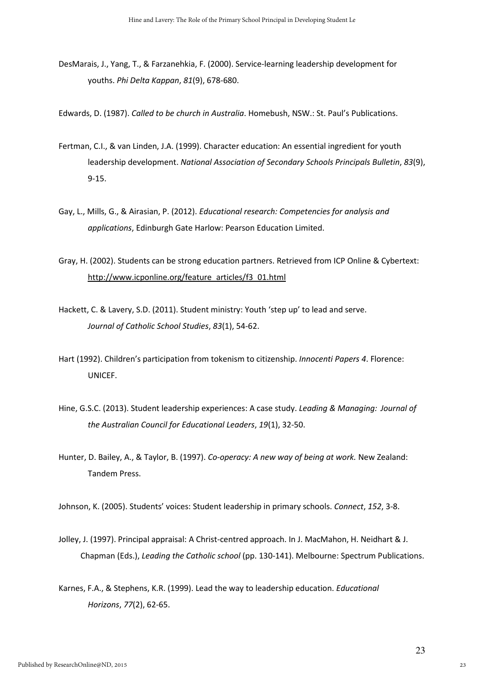DesMarais, J., Yang, T., & Farzanehkia, F. (2000). Service-learning leadership development for youths. Phi Delta Kappan, 81(9), 678-680.

Edwards, D. (1987). Called to be church in Australia. Homebush, NSW.: St. Paul's Publications.

- Fertman, C.I., & van Linden, J.A. (1999). Character education: An essential ingredient for youth leadership development. National Association of Secondary Schools Principals Bulletin, 83(9), 9-15.
- Gay, L., Mills, G., & Airasian, P. (2012). Educational research: Competencies for analysis and applications, Edinburgh Gate Harlow: Pearson Education Limited.
- Gray, H. (2002). Students can be strong education partners. Retrieved from ICP Online & Cybertext: http://www.icponline.org/feature\_articles/f3\_01.html
- Hackett, C. & Lavery, S.D. (2011). Student ministry: Youth 'step up' to lead and serve. Journal of Catholic School Studies, 83(1), 54-62.
- Hart (1992). Children's participation from tokenism to citizenship. Innocenti Papers 4. Florence: UNICEF.
- Hine, G.S.C. (2013). Student leadership experiences: A case study. Leading & Managing: Journal of the Australian Council for Educational Leaders, 19(1), 32-50.
- Hunter, D. Bailey, A., & Taylor, B. (1997). Co-operacy: A new way of being at work. New Zealand: Tandem Press.

Johnson, K. (2005). Students' voices: Student leadership in primary schools. Connect, 152, 3-8.

- Jolley, J. (1997). Principal appraisal: A Christ-centred approach. In J. MacMahon, H. Neidhart & J. Chapman (Eds.), Leading the Catholic school (pp. 130-141). Melbourne: Spectrum Publications.
- Karnes, F.A., & Stephens, K.R. (1999). Lead the way to leadership education. Educational Horizons, 77(2), 62-65.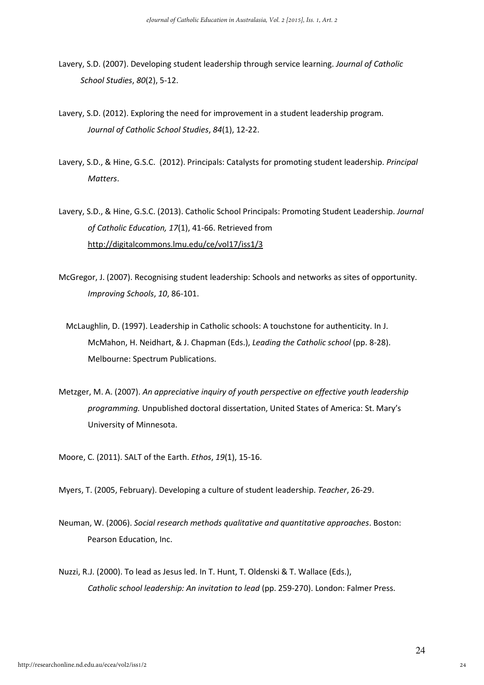- Lavery, S.D. (2007). Developing student leadership through service learning. Journal of Catholic School Studies, 80(2), 5-12.
- Lavery, S.D. (2012). Exploring the need for improvement in a student leadership program. Journal of Catholic School Studies, 84(1), 12-22.
- Lavery, S.D., & Hine, G.S.C. (2012). Principals: Catalysts for promoting student leadership. Principal Matters.
- Lavery, S.D., & Hine, G.S.C. (2013). Catholic School Principals: Promoting Student Leadership. Journal of Catholic Education, 17(1), 41-66. Retrieved from http://digitalcommons.lmu.edu/ce/vol17/iss1/3
- McGregor, J. (2007). Recognising student leadership: Schools and networks as sites of opportunity. Improving Schools, 10, 86-101.
	- McLaughlin, D. (1997). Leadership in Catholic schools: A touchstone for authenticity. In J. McMahon, H. Neidhart, & J. Chapman (Eds.), Leading the Catholic school (pp. 8-28). Melbourne: Spectrum Publications.
- Metzger, M. A. (2007). An appreciative inquiry of youth perspective on effective youth leadership programming. Unpublished doctoral dissertation, United States of America: St. Mary's University of Minnesota.
- Moore, C. (2011). SALT of the Earth. Ethos, 19(1), 15-16.
- Myers, T. (2005, February). Developing a culture of student leadership. Teacher, 26-29.
- Neuman, W. (2006). Social research methods qualitative and quantitative approaches. Boston: Pearson Education, Inc.
- Nuzzi, R.J. (2000). To lead as Jesus led. In T. Hunt, T. Oldenski & T. Wallace (Eds.), Catholic school leadership: An invitation to lead (pp. 259-270). London: Falmer Press.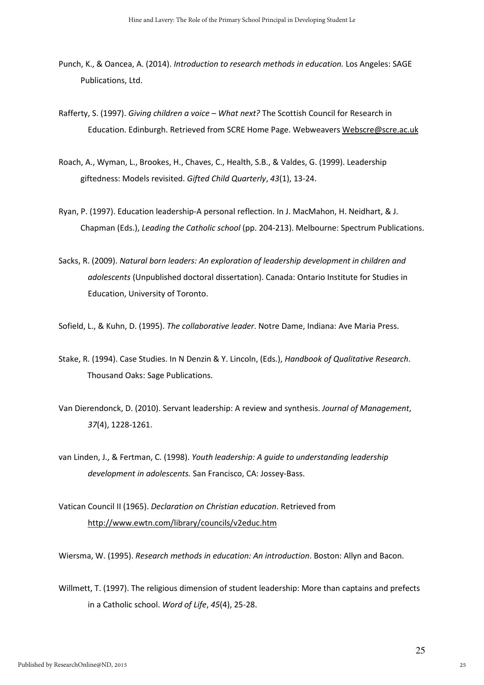- Punch, K., & Oancea, A. (2014). Introduction to research methods in education. Los Angeles: SAGE Publications, Ltd.
- Rafferty, S. (1997). Giving children a voice What next? The Scottish Council for Research in Education. Edinburgh. Retrieved from SCRE Home Page. Webweavers Webscre@scre.ac.uk
- Roach, A., Wyman, L., Brookes, H., Chaves, C., Health, S.B., & Valdes, G. (1999). Leadership giftedness: Models revisited. Gifted Child Quarterly, 43(1), 13-24.
- Ryan, P. (1997). Education leadership-A personal reflection. In J. MacMahon, H. Neidhart, & J. Chapman (Eds.), Leading the Catholic school (pp. 204-213). Melbourne: Spectrum Publications.
- Sacks, R. (2009). Natural born leaders: An exploration of leadership development in children and adolescents (Unpublished doctoral dissertation). Canada: Ontario Institute for Studies in Education, University of Toronto.

Sofield, L., & Kuhn, D. (1995). The collaborative leader. Notre Dame, Indiana: Ave Maria Press.

- Stake, R. (1994). Case Studies. In N Denzin & Y. Lincoln, (Eds.), Handbook of Qualitative Research. Thousand Oaks: Sage Publications.
- Van Dierendonck, D. (2010). Servant leadership: A review and synthesis. Journal of Management, 37(4), 1228-1261.
- van Linden, J., & Fertman, C. (1998). Youth leadership: A guide to understanding leadership development in adolescents. San Francisco, CA: Jossey-Bass.
- Vatican Council II (1965). Declaration on Christian education. Retrieved from http://www.ewtn.com/library/councils/v2educ.htm

Wiersma, W. (1995). Research methods in education: An introduction. Boston: Allyn and Bacon.

Willmett, T. (1997). The religious dimension of student leadership: More than captains and prefects in a Catholic school. Word of Life, 45(4), 25-28.